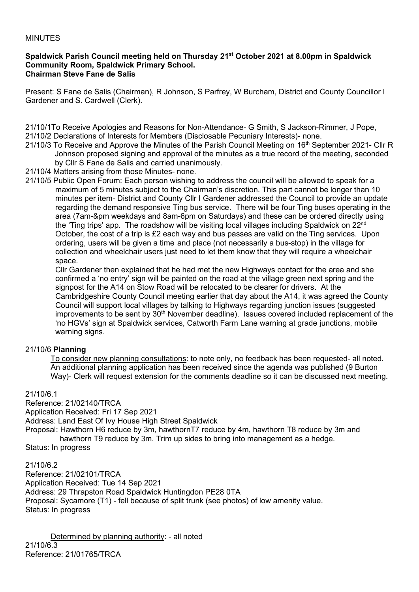### MINUTES

#### **Spaldwick Parish Council meeting held on Thursday 21st October 2021 at 8.00pm in Spaldwick Community Room, Spaldwick Primary School. Chairman Steve Fane de Salis**

Present: S Fane de Salis (Chairman), R Johnson, S Parfrey, W Burcham, District and County Councillor I Gardener and S. Cardwell (Clerk).

21/10/1To Receive Apologies and Reasons for Non-Attendance- G Smith, S Jackson-Rimmer, J Pope, 21/10/2 Declarations of Interests for Members (Disclosable Pecuniary Interests)- none.

21/10/3 To Receive and Approve the Minutes of the Parish Council Meeting on 16<sup>th</sup> September 2021- Cllr R Johnson proposed signing and approval of the minutes as a true record of the meeting, seconded by Cllr S Fane de Salis and carried unanimously.

21/10/4 Matters arising from those Minutes- none.

21/10/5 Public Open Forum: Each person wishing to address the council will be allowed to speak for a maximum of 5 minutes subject to the Chairman's discretion. This part cannot be longer than 10 minutes per item- District and County Cllr I Gardener addressed the Council to provide an update regarding the demand responsive Ting bus service. There will be four Ting buses operating in the area (7am-&pm weekdays and 8am-6pm on Saturdays) and these can be ordered directly using the 'Ting trips' app. The roadshow will be visiting local villages including Spaldwick on 22<sup>nd</sup> October, the cost of a trip is £2 each way and bus passes are valid on the Ting services. Upon ordering, users will be given a time and place (not necessarily a bus-stop) in the village for collection and wheelchair users just need to let them know that they will require a wheelchair space.

Cllr Gardener then explained that he had met the new Highways contact for the area and she confirmed a 'no entry' sign will be painted on the road at the village green next spring and the signpost for the A14 on Stow Road will be relocated to be clearer for drivers. At the Cambridgeshire County Council meeting earlier that day about the A14, it was agreed the County Council will support local villages by talking to Highways regarding junction issues (suggested improvements to be sent by  $30<sup>th</sup>$  November deadline). Issues covered included replacement of the 'no HGVs' sign at Spaldwick services, Catworth Farm Lane warning at grade junctions, mobile warning signs.

## 21/10/6 **Planning**

To consider new planning consultations: to note only, no feedback has been requested- all noted. An additional planning application has been received since the agenda was published (9 Burton Way)- Clerk will request extension for the comments deadline so it can be discussed next meeting.

## 21/10/6.1

Reference: 21/02140/TRCA

Application Received: Fri 17 Sep 2021

Address: Land East Of Ivy House High Street Spaldwick

Proposal: Hawthorn H6 reduce by 3m, hawthornT7 reduce by 4m, hawthorn T8 reduce by 3m and hawthorn T9 reduce by 3m. Trim up sides to bring into management as a hedge.

Status: In progress

21/10/6.2

Reference: 21/02101/TRCA Application Received: Tue 14 Sep 2021 Address: 29 Thrapston Road Spaldwick Huntingdon PE28 0TA Proposal: Sycamore (T1) - fell because of split trunk (see photos) of low amenity value. Status: In progress

Determined by planning authority: - all noted 21/10/6.3 Reference: 21/01765/TRCA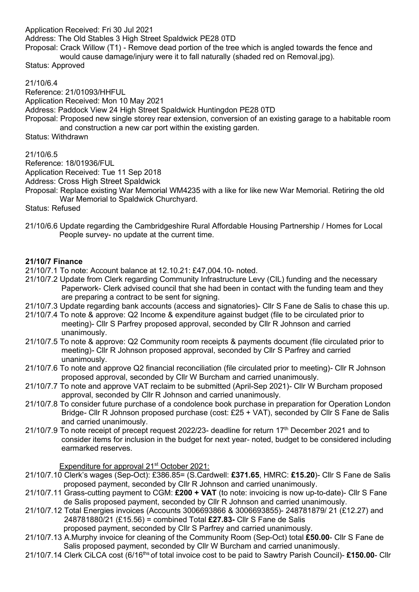Application Received: Fri 30 Jul 2021

Address: The Old Stables 3 High Street Spaldwick PE28 0TD

Proposal: Crack Willow (T1) - Remove dead portion of the tree which is angled towards the fence and would cause damage/injury were it to fall naturally (shaded red on Removal.jpg).

Status: Approved

### 21/10/6.4

Reference: 21/01093/HHFUL

Application Received: Mon 10 May 2021

Address: Paddock View 24 High Street Spaldwick Huntingdon PE28 0TD

Proposal: Proposed new single storey rear extension, conversion of an existing garage to a habitable room and construction a new car port within the existing garden.

Status: Withdrawn

21/10/6.5

Reference: 18/01936/FUL

Application Received: Tue 11 Sep 2018

Address: Cross High Street Spaldwick

Proposal: Replace existing War Memorial WM4235 with a like for like new War Memorial. Retiring the old War Memorial to Spaldwick Churchyard.

Status: Refused

21/10/6.6 Update regarding the Cambridgeshire Rural Affordable Housing Partnership / Homes for Local People survey- no update at the current time.

## **21/10/7 Finance**

- 21/10/7.1 To note: Account balance at 12.10.21: £47,004.10- noted.
- 21/10/7.2 Update from Clerk regarding Community Infrastructure Levy (CIL) funding and the necessary Paperwork- Clerk advised council that she had been in contact with the funding team and they are preparing a contract to be sent for signing.
- 21/10/7.3 Update regarding bank accounts (access and signatories)- Cllr S Fane de Salis to chase this up.
- 21/10/7.4 To note & approve: Q2 Income & expenditure against budget (file to be circulated prior to meeting)- Cllr S Parfrey proposed approval, seconded by Cllr R Johnson and carried unanimously.
- 21/10/7.5 To note & approve: Q2 Community room receipts & payments document (file circulated prior to meeting)*-* Cllr R Johnson proposed approval, seconded by Cllr S Parfrey and carried unanimously.
- 21/10/7.6 To note and approve Q2 financial reconciliation (file circulated prior to meeting)*-* Cllr R Johnson proposed approval, seconded by Cllr W Burcham and carried unanimously.
- 21/10/7.7 To note and approve VAT reclaim to be submitted (April-Sep 2021)*-* Cllr W Burcham proposed approval, seconded by Cllr R Johnson and carried unanimously.
- 21/10/7.8 To consider future purchase of a condolence book purchase in preparation for Operation London Bridge*-* Cllr R Johnson proposed purchase (cost: £25 + VAT), seconded by Cllr S Fane de Salis and carried unanimously.
- 21/10/7.9 To note receipt of precept request 2022/23- deadline for return 17<sup>th</sup> December 2021 and to consider items for inclusion in the budget for next year- noted, budget to be considered including earmarked reserves.

Expenditure for approval 21<sup>st</sup> October 2021:

- 21/10/7.10 Clerk's wages (Sep-Oct): £386.85= (S.Cardwell: **£371.65**, HMRC: **£15.20**)- Cllr S Fane de Salis proposed payment, seconded by Cllr R Johnson and carried unanimously.
- 21/10/7.11 Grass-cutting payment to CGM: **£200 + VAT** (to note: invoicing is now up-to-date)- Cllr S Fane de Salis proposed payment, seconded by Cllr R Johnson and carried unanimously.
- 21/10/7.12 Total Energies invoices (Accounts 3006693866 & 3006693855)- 248781879/ 21 (£12.27) and 248781880/21 (£15.56) = combined Total **£27.83-** Cllr S Fane de Salis
	- proposed payment, seconded by Cllr S Parfrey and carried unanimously.
- 21/10/7.13 A.Murphy invoice for cleaning of the Community Room (Sep-Oct) total **£50.00** Cllr S Fane de Salis proposed payment, seconded by Cllr W Burcham and carried unanimously.
- 21/10/7.14 Clerk CiLCA cost (6/16<sup>ths</sup> of total invoice cost to be paid to Sawtry Parish Council)- £150.00- Cllr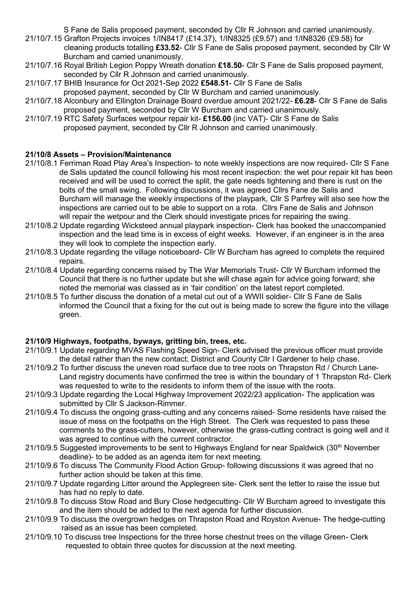S Fane de Salis proposed payment, seconded by Cllr R Johnson and carried unanimously.

- 21/10/7.15 Grafton Projects invoices 1/IN8417 (£14.37), 1/IN8325 (£9.57) and 1/IN8326 (£9.58) for cleaning products totalling **£33.52**- Cllr S Fane de Salis proposed payment, seconded by Cllr W Burcham and carried unanimously.
- 21/10/7.16 Royal British Legion Poppy Wreath donation **£18.50** Cllr S Fane de Salis proposed payment, seconded by Cllr R Johnson and carried unanimously.
- 21/10/7.17 BHIB Insurance for Oct 2021-Sep 2022 **£548.51** Cllr S Fane de Salis proposed payment, seconded by Cllr W Burcham and carried unanimously.
- 21/10/7.18 Alconbury and Ellington Drainage Board overdue amount 2021/22- **£6.28** Cllr S Fane de Salis proposed payment, seconded by Cllr W Burcham and carried unanimously.
- 21/10/7.19 RTC Safety Surfaces wetpour repair kit- **£156.00** (inc VAT)- Cllr S Fane de Salis proposed payment, seconded by Cllr R Johnson and carried unanimously.

# **21/10/8 Assets – Provision/Maintenance**

- 21/10/8.1 Ferriman Road Play Area's Inspection- to note weekly inspections are now required- Cllr S Fane de Salis updated the council following his most recent inspection: the wet pour repair kit has been received and will be used to correct the split, the gate needs tightening and there is rust on the bolts of the small swing. Following discussions, it was agreed Cllrs Fane de Salis and Burcham will manage the weekly inspections of the playpark, Cllr S Parfrey will also see how the inspections are carried out to be able to support on a rota. Cllrs Fane de Salis and Johnson will repair the wetpour and the Clerk should investigate prices for repairing the swing.
- 21/10/8.2 Update regarding Wicksteed annual playpark inspection- Clerk has booked the unaccompanied inspection and the lead time is in excess of eight weeks. However, if an engineer is in the area they will look to complete the inspection early.
- 21/10/8.3 Update regarding the village noticeboard- Cllr W Burcham has agreed to complete the required repairs.
- 21/10/8.4 Update regarding concerns raised by The War Memorials Trust- Cllr W Burcham informed the Council that there is no further update but she will chase again for advice going forward; she noted the memorial was classed as in 'fair condition' on the latest report completed.
- 21/10/8.5 To further discuss the donation of a metal cut out of a WWII soldier- Cllr S Fane de Salis informed the Council that a fixing for the cut out is being made to screw the figure into the village green.

# **21/10/9 Highways, footpaths, byways, gritting bin, trees, etc.**

- 21/10/9.1 Update regarding MVAS Flashing Speed Sign- Clerk advised the previous officer must provide the detail rather than the new contact; District and County Cllr I Gardener to help chase.
- 21/10/9.2 To further discuss the uneven road surface due to tree roots on Thrapston Rd / Church Lane- Land registry documents have confirmed the tree is within the boundary of 1 Thrapston Rd- Clerk was requested to write to the residents to inform them of the issue with the roots.
- 21/10/9.3 Update regarding the Local Highway Improvement 2022/23 application- The application was submitted by Cllr S Jackson-Rimmer.
- 21/10/9.4 To discuss the ongoing grass-cutting and any concerns raised- Some residents have raised the issue of mess on the footpaths on the High Street. The Clerk was requested to pass these comments to the grass-cutters, however, otherwise the grass-cutting contract is going well and it was agreed to continue with the current contractor.
- 21/10/9.5 Suggested improvements to be sent to Highways England for near Spaldwick (30<sup>th</sup> November deadline)- to be added as an agenda item for next meeting.
- 21/10/9.6 To discuss The Community Flood Action Group- following discussions it was agreed that no further action should be taken at this time.
- 21/10/9.7 Update regarding Litter around the Applegreen site- Clerk sent the letter to raise the issue but has had no reply to date.
- 21/10/9.8 To discuss Stow Road and Bury Close hedgecutting- Cllr W Burcham agreed to investigate this and the item should be added to the next agenda for further discussion.
- 21/10/9.9 To discuss the overgrown hedges on Thrapston Road and Royston Avenue- The hedge-cutting raised as an issue has been completed.
- 21/10/9.10 To discuss tree Inspections for the three horse chestnut trees on the village Green- Clerk requested to obtain three quotes for discussion at the next meeting.